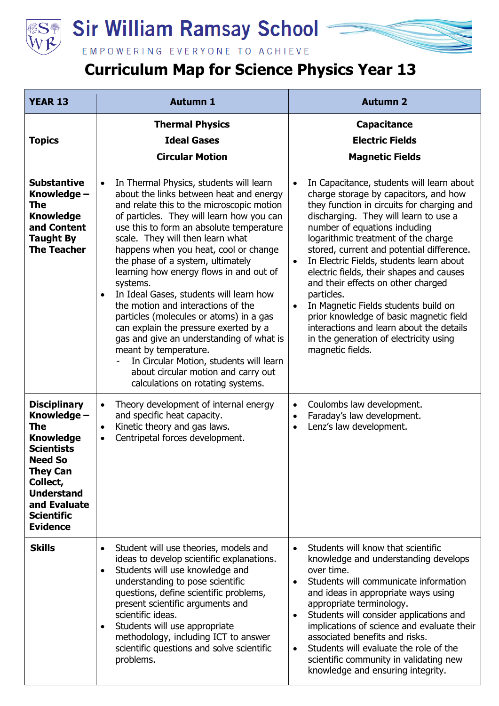

## **Sir William Ramsay School**



## **Curriculum Map for Science Physics Year 13**

| <b>YEAR 13</b>                                                                                                                                                                                                   | <b>Autumn 1</b>                                                                                                                                                                                                                                                                                                                                                                                                                                                                                                                                                                                                                                                                                                                                                                 | <b>Autumn 2</b>                                                                                                                                                                                                                                                                                                                                                                                                                                                                                                                                                                                                                                                                |
|------------------------------------------------------------------------------------------------------------------------------------------------------------------------------------------------------------------|---------------------------------------------------------------------------------------------------------------------------------------------------------------------------------------------------------------------------------------------------------------------------------------------------------------------------------------------------------------------------------------------------------------------------------------------------------------------------------------------------------------------------------------------------------------------------------------------------------------------------------------------------------------------------------------------------------------------------------------------------------------------------------|--------------------------------------------------------------------------------------------------------------------------------------------------------------------------------------------------------------------------------------------------------------------------------------------------------------------------------------------------------------------------------------------------------------------------------------------------------------------------------------------------------------------------------------------------------------------------------------------------------------------------------------------------------------------------------|
| <b>Topics</b>                                                                                                                                                                                                    | <b>Thermal Physics</b><br><b>Ideal Gases</b><br><b>Circular Motion</b>                                                                                                                                                                                                                                                                                                                                                                                                                                                                                                                                                                                                                                                                                                          | <b>Capacitance</b><br><b>Electric Fields</b><br><b>Magnetic Fields</b>                                                                                                                                                                                                                                                                                                                                                                                                                                                                                                                                                                                                         |
| <b>Substantive</b><br>Knowledge –<br>The<br><b>Knowledge</b><br>and Content<br><b>Taught By</b><br><b>The Teacher</b>                                                                                            | In Thermal Physics, students will learn<br>$\bullet$<br>about the links between heat and energy<br>and relate this to the microscopic motion<br>of particles. They will learn how you can<br>use this to form an absolute temperature<br>scale. They will then learn what<br>happens when you heat, cool or change<br>the phase of a system, ultimately<br>learning how energy flows in and out of<br>systems.<br>In Ideal Gases, students will learn how<br>the motion and interactions of the<br>particles (molecules or atoms) in a gas<br>can explain the pressure exerted by a<br>gas and give an understanding of what is<br>meant by temperature.<br>In Circular Motion, students will learn<br>about circular motion and carry out<br>calculations on rotating systems. | In Capacitance, students will learn about<br>$\bullet$<br>charge storage by capacitors, and how<br>they function in circuits for charging and<br>discharging. They will learn to use a<br>number of equations including<br>logarithmic treatment of the charge<br>stored, current and potential difference.<br>In Electric Fields, students learn about<br>$\bullet$<br>electric fields, their shapes and causes<br>and their effects on other charged<br>particles.<br>In Magnetic Fields students build on<br>$\bullet$<br>prior knowledge of basic magnetic field<br>interactions and learn about the details<br>in the generation of electricity using<br>magnetic fields. |
| <b>Disciplinary</b><br>Knowledge -<br>The<br><b>Knowledge</b><br><b>Scientists</b><br><b>Need So</b><br><b>They Can</b><br>Collect,<br><b>Understand</b><br>and Evaluate<br><b>Scientific</b><br><b>Evidence</b> | Theory development of internal energy<br>$\bullet$<br>and specific heat capacity.<br>Kinetic theory and gas laws.<br>$\bullet$<br>Centripetal forces development.<br>$\bullet$                                                                                                                                                                                                                                                                                                                                                                                                                                                                                                                                                                                                  | Coulombs law development.<br>$\bullet$<br>Faraday's law development.<br>$\bullet$<br>Lenz's law development.<br>$\bullet$                                                                                                                                                                                                                                                                                                                                                                                                                                                                                                                                                      |
| <b>Skills</b>                                                                                                                                                                                                    | Student will use theories, models and<br>$\bullet$<br>ideas to develop scientific explanations.<br>Students will use knowledge and<br>$\bullet$<br>understanding to pose scientific<br>questions, define scientific problems,<br>present scientific arguments and<br>scientific ideas.<br>Students will use appropriate<br>$\bullet$<br>methodology, including ICT to answer<br>scientific questions and solve scientific<br>problems.                                                                                                                                                                                                                                                                                                                                          | Students will know that scientific<br>$\bullet$<br>knowledge and understanding develops<br>over time.<br>Students will communicate information<br>$\bullet$<br>and ideas in appropriate ways using<br>appropriate terminology.<br>Students will consider applications and<br>$\bullet$<br>implications of science and evaluate their<br>associated benefits and risks.<br>Students will evaluate the role of the<br>$\bullet$<br>scientific community in validating new<br>knowledge and ensuring integrity.                                                                                                                                                                   |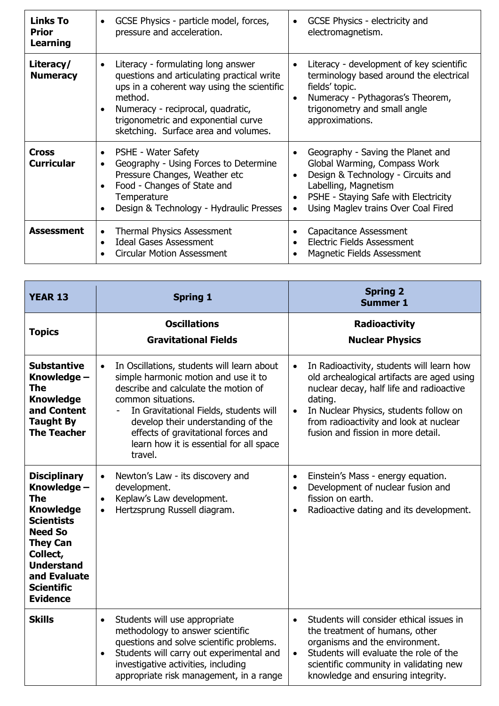| <b>Links To</b><br><b>Prior</b><br>Learning | GCSE Physics - particle model, forces,<br>$\bullet$<br>pressure and acceleration.                                                                                                                                                                             | GCSE Physics - electricity and<br>٠<br>electromagnetism.                                                                                                                                                                                 |
|---------------------------------------------|---------------------------------------------------------------------------------------------------------------------------------------------------------------------------------------------------------------------------------------------------------------|------------------------------------------------------------------------------------------------------------------------------------------------------------------------------------------------------------------------------------------|
| Literacy/<br><b>Numeracy</b>                | Literacy - formulating long answer<br>questions and articulating practical write<br>ups in a coherent way using the scientific<br>method.<br>Numeracy - reciprocal, quadratic,<br>trigonometric and exponential curve<br>sketching. Surface area and volumes. | Literacy - development of key scientific<br>$\bullet$<br>terminology based around the electrical<br>fields' topic.<br>Numeracy - Pythagoras's Theorem,<br>$\bullet$<br>trigonometry and small angle<br>approximations.                   |
| Cross<br><b>Curricular</b>                  | PSHE - Water Safety<br>$\bullet$<br>Geography - Using Forces to Determine<br>Pressure Changes, Weather etc<br>Food - Changes of State and<br>Temperature<br>Design & Technology - Hydraulic Presses                                                           | Geography - Saving the Planet and<br>Global Warming, Compass Work<br>Design & Technology - Circuits and<br>Labelling, Magnetism<br>PSHE - Staying Safe with Electricity<br>$\bullet$<br>Using Maglev trains Over Coal Fired<br>$\bullet$ |
| Assessment                                  | <b>Thermal Physics Assessment</b><br><b>Ideal Gases Assessment</b><br><b>Circular Motion Assessment</b>                                                                                                                                                       | Capacitance Assessment<br><b>Electric Fields Assessment</b><br>Magnetic Fields Assessment                                                                                                                                                |

| <b>YEAR 13</b>                                                                                                                                                                                                          | <b>Spring 1</b>                                                                                                                                                                                                                                                                                                                                                        | <b>Spring 2</b><br><b>Summer 1</b>                                                                                                                                                                                                                                                                 |
|-------------------------------------------------------------------------------------------------------------------------------------------------------------------------------------------------------------------------|------------------------------------------------------------------------------------------------------------------------------------------------------------------------------------------------------------------------------------------------------------------------------------------------------------------------------------------------------------------------|----------------------------------------------------------------------------------------------------------------------------------------------------------------------------------------------------------------------------------------------------------------------------------------------------|
| <b>Topics</b>                                                                                                                                                                                                           | <b>Oscillations</b><br><b>Gravitational Fields</b>                                                                                                                                                                                                                                                                                                                     | <b>Radioactivity</b><br><b>Nuclear Physics</b>                                                                                                                                                                                                                                                     |
| <b>Substantive</b><br>Knowledge -<br><b>The</b><br><b>Knowledge</b><br>and Content<br><b>Taught By</b><br><b>The Teacher</b>                                                                                            | In Oscillations, students will learn about<br>$\bullet$<br>simple harmonic motion and use it to<br>describe and calculate the motion of<br>common situations.<br>In Gravitational Fields, students will<br>$\overline{\phantom{a}}$<br>develop their understanding of the<br>effects of gravitational forces and<br>learn how it is essential for all space<br>travel. | In Radioactivity, students will learn how<br>$\bullet$<br>old archealogical artifacts are aged using<br>nuclear decay, half life and radioactive<br>dating.<br>In Nuclear Physics, students follow on<br>$\bullet$<br>from radioactivity and look at nuclear<br>fusion and fission in more detail. |
| <b>Disciplinary</b><br>Knowledge -<br><b>The</b><br><b>Knowledge</b><br><b>Scientists</b><br><b>Need So</b><br><b>They Can</b><br>Collect,<br><b>Understand</b><br>and Evaluate<br><b>Scientific</b><br><b>Evidence</b> | Newton's Law - its discovery and<br>$\bullet$<br>development.<br>Keplaw's Law development.<br>$\bullet$<br>Hertzsprung Russell diagram.<br>$\bullet$                                                                                                                                                                                                                   | Einstein's Mass - energy equation.<br>$\bullet$<br>Development of nuclear fusion and<br>$\bullet$<br>fission on earth.<br>Radioactive dating and its development.<br>$\bullet$                                                                                                                     |
| <b>Skills</b>                                                                                                                                                                                                           | Students will use appropriate<br>$\bullet$<br>methodology to answer scientific<br>questions and solve scientific problems.<br>Students will carry out experimental and<br>$\bullet$<br>investigative activities, including<br>appropriate risk management, in a range                                                                                                  | Students will consider ethical issues in<br>$\bullet$<br>the treatment of humans, other<br>organisms and the environment.<br>Students will evaluate the role of the<br>$\bullet$<br>scientific community in validating new<br>knowledge and ensuring integrity.                                    |